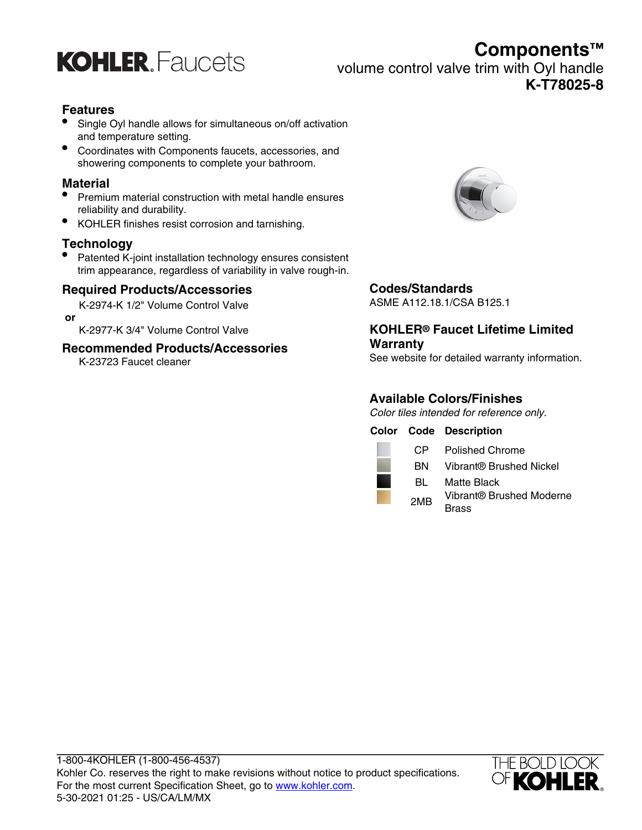

**Components™**

volume control valve trim with Oyl handle

**K-T78025-8**

#### **Features**

- Single Oyl handle allows for simultaneous on/off activation and temperature setting.
- Coordinates with Components faucets, accessories, and showering components to complete your bathroom.

#### **Material**

- Premium material construction with metal handle ensures reliability and durability.
- KOHLER finishes resist corrosion and tarnishing.

#### **Technology**

• Patented K-joint installation technology ensures consistent trim appearance, regardless of variability in valve rough-in.

#### **Required Products/Accessories**

K-2974-K 1/2" Volume Control Valve  **or**

K-2977-K 3/4" Volume Control Valve

#### **Recommended Products/Accessories**

K-23723 Faucet cleaner



## **Codes/Standards**

ASME A112.18.1/CSA B125.1

#### **KOHLER® Faucet Lifetime Limited Warranty**

See website for detailed warranty information.

## **Available Colors/Finishes**

Color tiles intended for reference only.

|  |                 | <b>Color Code Description</b> |
|--|-----------------|-------------------------------|
|  | CP.             | <b>Polished Chrome</b>        |
|  | BN.             | Vibrant® Brushed Nickel       |
|  | BL              | <b>Matte Black</b>            |
|  | 2M <sub>R</sub> | Vibrant® Brushed Moderne      |
|  |                 | 3rass                         |